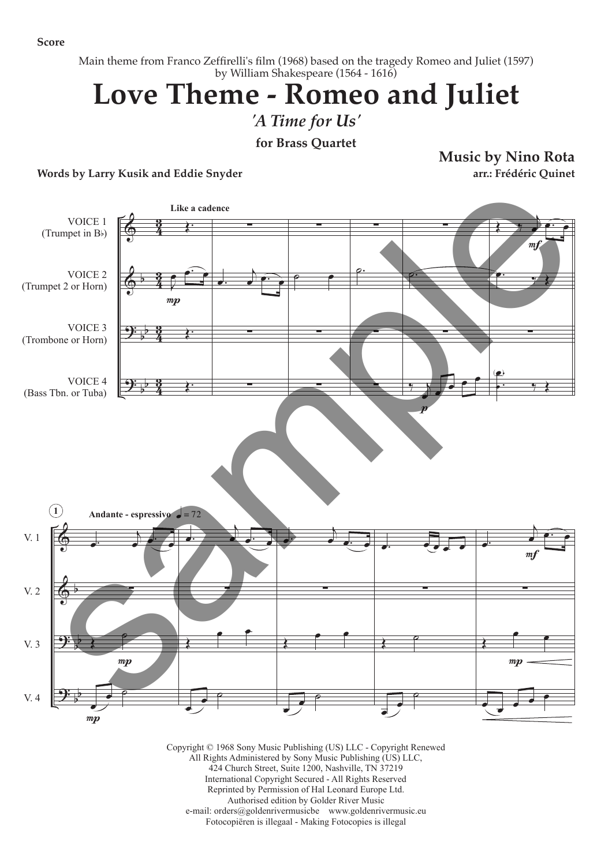**Score**

Main theme from Franco Zeffirelli's film (1968) based on the tragedy Romeo and Juliet (1597) by William Shakespeare (1564 - 1616)

## **Love Theme - Romeo and Juliet**

*'A Time for Us'*

**for Brass Quartet**

**Words by Larry Kusik and Eddie Snyder**

**Music by Nino Rota arr.: Frédéric Quinet**



Copyright © 1968 Sony Music Publishing (US) LLC - Copyright Renewed All Rights Administered by Sony Music Publishing (US) LLC, 424 Church Street, Suite 1200, Nashville, TN 37219 International Copyright Secured - All Rights Reserved Reprinted by Permission of Hal Leonard Europe Ltd. Authorised edition by Golder River Music e-mail: orders@goldenrivermusicbe www.goldenrivermusic.eu Fotocopiëren is illegaal - Making Fotocopies is illegal